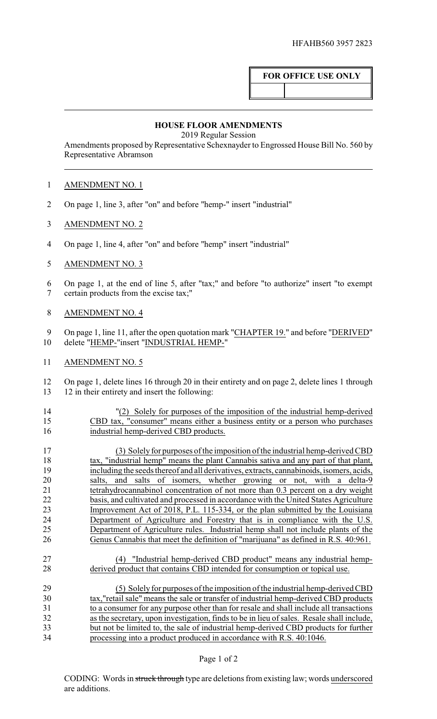# **FOR OFFICE USE ONLY**

#### **HOUSE FLOOR AMENDMENTS**

2019 Regular Session

Amendments proposed by Representative Schexnayder to Engrossed House Bill No. 560 by Representative Abramson

## AMENDMENT NO. 1

- On page 1, line 3, after "on" and before "hemp-" insert "industrial"
- AMENDMENT NO. 2
- On page 1, line 4, after "on" and before "hemp" insert "industrial"
- AMENDMENT NO. 3
- On page 1, at the end of line 5, after "tax;" and before "to authorize" insert "to exempt certain products from the excise tax;"
- AMENDMENT NO. 4

 On page 1, line 11, after the open quotation mark "CHAPTER 19." and before "DERIVED" delete "HEMP-"insert "INDUSTRIAL HEMP-"

AMENDMENT NO. 5

 On page 1, delete lines 16 through 20 in their entirety and on page 2, delete lines 1 through 12 in their entirety and insert the following:

 "(2) Solely for purposes of the imposition of the industrial hemp-derived CBD tax, "consumer" means either a business entity or a person who purchases industrial hemp-derived CBD products.

 (3) Solelyfor purposes of the imposition of the industrial hemp-derived CBD 18 tax, "industrial hemp" means the plant Cannabis sativa and any part of that plant, including the seeds thereof and all derivatives, extracts, cannabinoids, isomers, acids, salts, and salts of isomers, whether growing or not, with a delta-9 tetrahydrocannabinol concentration of not more than 0.3 percent on a dry weight basis, and cultivated and processed in accordance with the United States Agriculture Improvement Act of 2018, P.L. 115-334, or the plan submitted by the Louisiana Department of Agriculture and Forestry that is in compliance with the U.S. Department of Agriculture rules. Industrial hemp shall not include plants of the Genus Cannabis that meet the definition of "marijuana" as defined in R.S. 40:961.

 (4) "Industrial hemp-derived CBD product" means any industrial hemp-derived product that contains CBD intended for consumption or topical use.

 (5) Solely for purposes of the imposition of the industrial hemp-derived CBD tax,"retail sale" means the sale or transfer of industrial hemp-derived CBD products to a consumer for any purpose other than for resale and shall include all transactions as the secretary, upon investigation, finds to be in lieu of sales. Resale shall include, but not be limited to, the sale of industrial hemp-derived CBD products for further processing into a product produced in accordance with R.S. 40:1046.